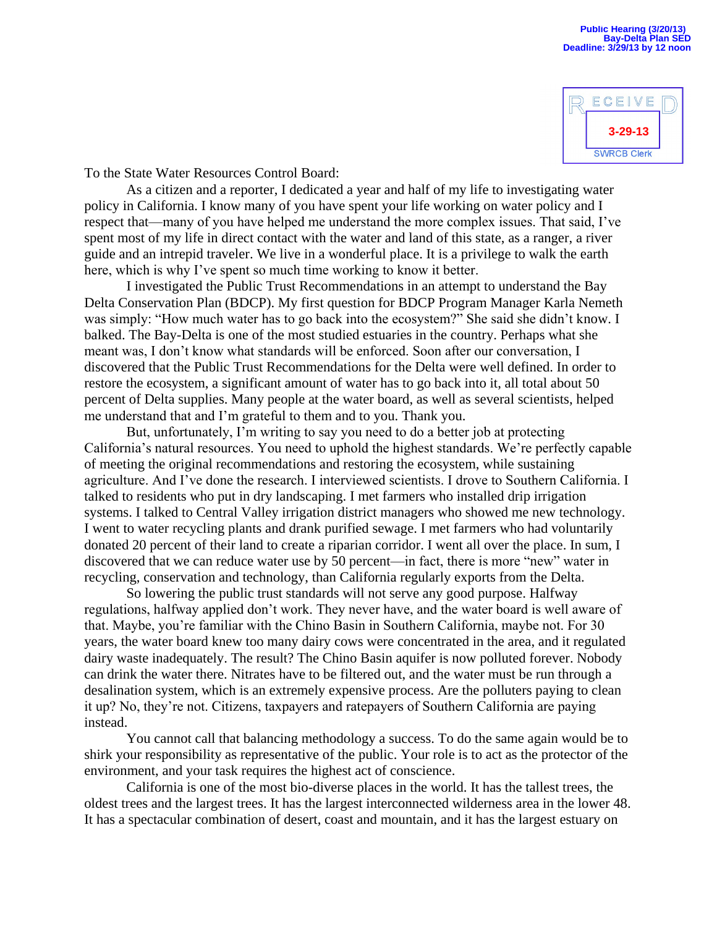

To the State Water Resources Control Board:

 As a citizen and a reporter, I dedicated a year and half of my life to investigating water policy in California. I know many of you have spent your life working on water policy and I respect that—many of you have helped me understand the more complex issues. That said, I've spent most of my life in direct contact with the water and land of this state, as a ranger, a river guide and an intrepid traveler. We live in a wonderful place. It is a privilege to walk the earth here, which is why I've spent so much time working to know it better.

 I investigated the Public Trust Recommendations in an attempt to understand the Bay Delta Conservation Plan (BDCP). My first question for BDCP Program Manager Karla Nemeth was simply: "How much water has to go back into the ecosystem?" She said she didn't know. I balked. The Bay-Delta is one of the most studied estuaries in the country. Perhaps what she meant was, I don't know what standards will be enforced. Soon after our conversation, I discovered that the Public Trust Recommendations for the Delta were well defined. In order to restore the ecosystem, a significant amount of water has to go back into it, all total about 50 percent of Delta supplies. Many people at the water board, as well as several scientists, helped me understand that and I'm grateful to them and to you. Thank you.

 But, unfortunately, I'm writing to say you need to do a better job at protecting California's natural resources. You need to uphold the highest standards. We're perfectly capable of meeting the original recommendations and restoring the ecosystem, while sustaining agriculture. And I've done the research. I interviewed scientists. I drove to Southern California. I talked to residents who put in dry landscaping. I met farmers who installed drip irrigation systems. I talked to Central Valley irrigation district managers who showed me new technology. I went to water recycling plants and drank purified sewage. I met farmers who had voluntarily donated 20 percent of their land to create a riparian corridor. I went all over the place. In sum, I discovered that we can reduce water use by 50 percent—in fact, there is more "new" water in recycling, conservation and technology, than California regularly exports from the Delta.

 So lowering the public trust standards will not serve any good purpose. Halfway regulations, halfway applied don't work. They never have, and the water board is well aware of that. Maybe, you're familiar with the Chino Basin in Southern California, maybe not. For 30 years, the water board knew too many dairy cows were concentrated in the area, and it regulated dairy waste inadequately. The result? The Chino Basin aquifer is now polluted forever. Nobody can drink the water there. Nitrates have to be filtered out, and the water must be run through a desalination system, which is an extremely expensive process. Are the polluters paying to clean it up? No, they're not. Citizens, taxpayers and ratepayers of Southern California are paying instead.

 You cannot call that balancing methodology a success. To do the same again would be to shirk your responsibility as representative of the public. Your role is to act as the protector of the environment, and your task requires the highest act of conscience.

 California is one of the most bio-diverse places in the world. It has the tallest trees, the oldest trees and the largest trees. It has the largest interconnected wilderness area in the lower 48. It has a spectacular combination of desert, coast and mountain, and it has the largest estuary on